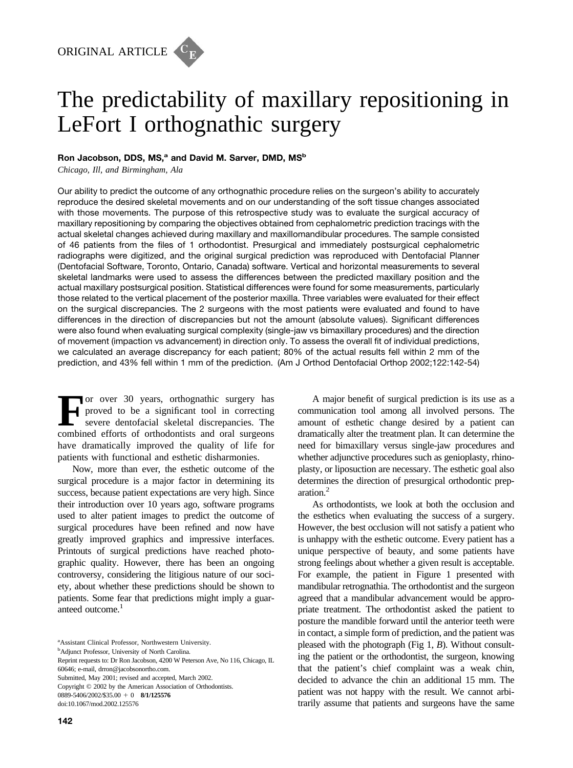

## Ron Jacobson, DDS, MS,<sup>a</sup> and David M. Sarver, DMD, MS<sup>b</sup>

*Chicago, Ill, and Birmingham, Ala*

Our ability to predict the outcome of any orthognathic procedure relies on the surgeon's ability to accurately reproduce the desired skeletal movements and on our understanding of the soft tissue changes associated with those movements. The purpose of this retrospective study was to evaluate the surgical accuracy of maxillary repositioning by comparing the objectives obtained from cephalometric prediction tracings with the actual skeletal changes achieved during maxillary and maxillomandibular procedures. The sample consisted of 46 patients from the files of 1 orthodontist. Presurgical and immediately postsurgical cephalometric radiographs were digitized, and the original surgical prediction was reproduced with Dentofacial Planner (Dentofacial Software, Toronto, Ontario, Canada) software. Vertical and horizontal measurements to several skeletal landmarks were used to assess the differences between the predicted maxillary position and the actual maxillary postsurgical position. Statistical differences were found for some measurements, particularly those related to the vertical placement of the posterior maxilla. Three variables were evaluated for their effect on the surgical discrepancies. The 2 surgeons with the most patients were evaluated and found to have differences in the direction of discrepancies but not the amount (absolute values). Significant differences were also found when evaluating surgical complexity (single-jaw vs bimaxillary procedures) and the direction of movement (impaction vs advancement) in direction only. To assess the overall fit of individual predictions, we calculated an average discrepancy for each patient; 80% of the actual results fell within 2 mm of the prediction, and 43% fell within 1 mm of the prediction. (Am J Orthod Dentofacial Orthop 2002;122:142-54)

For over 30 years, orthognathic surgery has<br>proved to be a significant tool in correcting<br>severe dentofacial skeletal discrepancies. The<br>combined efforts of orthodontists and oral surgeons proved to be a significant tool in correcting severe dentofacial skeletal discrepancies. The combined efforts of orthodontists and oral surgeons have dramatically improved the quality of life for patients with functional and esthetic disharmonies.

Now, more than ever, the esthetic outcome of the surgical procedure is a major factor in determining its success, because patient expectations are very high. Since their introduction over 10 years ago, software programs used to alter patient images to predict the outcome of surgical procedures have been refined and now have greatly improved graphics and impressive interfaces. Printouts of surgical predictions have reached photographic quality. However, there has been an ongoing controversy, considering the litigious nature of our society, about whether these predictions should be shown to patients. Some fear that predictions might imply a guaranteed outcome.<sup>1</sup>

a Assistant Clinical Professor, Northwestern University.

<sup>b</sup>Adjunct Professor, University of North Carolina.

Submitted, May 2001; revised and accepted, March 2002.

Copyright © 2002 by the American Association of Orthodontists.

0889-5406/2002/\$35.00 + 0 **8/1/125576** 

doi:10.1067/mod.2002.125576

A major benefit of surgical prediction is its use as a communication tool among all involved persons. The amount of esthetic change desired by a patient can dramatically alter the treatment plan. It can determine the need for bimaxillary versus single-jaw procedures and whether adjunctive procedures such as genioplasty, rhinoplasty, or liposuction are necessary. The esthetic goal also determines the direction of presurgical orthodontic preparation.2

As orthodontists, we look at both the occlusion and the esthetics when evaluating the success of a surgery. However, the best occlusion will not satisfy a patient who is unhappy with the esthetic outcome. Every patient has a unique perspective of beauty, and some patients have strong feelings about whether a given result is acceptable. For example, the patient in Figure 1 presented with mandibular retrognathia. The orthodontist and the surgeon agreed that a mandibular advancement would be appropriate treatment. The orthodontist asked the patient to posture the mandible forward until the anterior teeth were in contact, a simple form of prediction, and the patient was pleased with the photograph (Fig 1, *B*). Without consulting the patient or the orthodontist, the surgeon, knowing that the patient's chief complaint was a weak chin, decided to advance the chin an additional 15 mm. The patient was not happy with the result. We cannot arbitrarily assume that patients and surgeons have the same

Reprint requests to: Dr Ron Jacobson, 4200 W Peterson Ave, No 116, Chicago, IL 60646; e-mail, drron@jacobsonortho.com.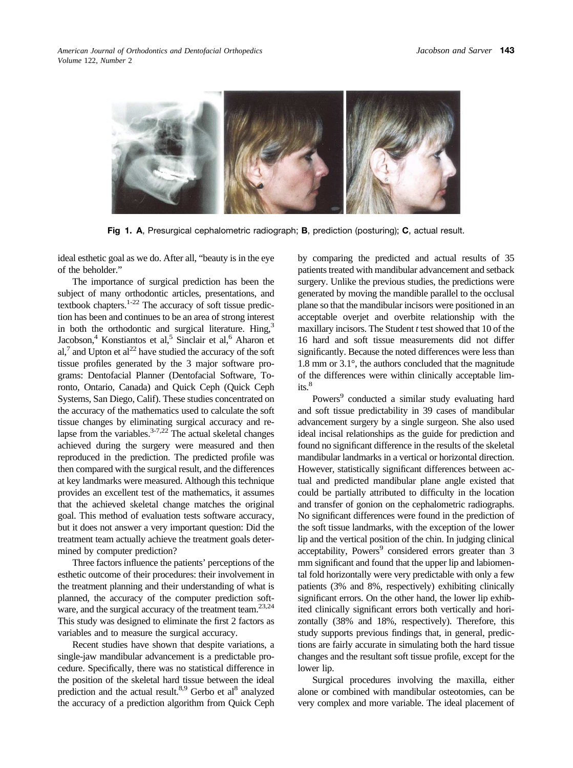

**Fig 1. A**, Presurgical cephalometric radiograph; **B**, prediction (posturing); **C**, actual result.

ideal esthetic goal as we do. After all, "beauty is in the eye of the beholder."

The importance of surgical prediction has been the subject of many orthodontic articles, presentations, and textbook chapters.1-22 The accuracy of soft tissue prediction has been and continues to be an area of strong interest in both the orthodontic and surgical literature. Hing,<sup>3</sup> Jacobson,<sup>4</sup> Konstiantos et al,<sup>5</sup> Sinclair et al,<sup>6</sup> Aharon et al, $^7$  and Upton et al<sup>22</sup> have studied the accuracy of the soft tissue profiles generated by the 3 major software programs: Dentofacial Planner (Dentofacial Software, Toronto, Ontario, Canada) and Quick Ceph (Quick Ceph Systems, San Diego, Calif). These studies concentrated on the accuracy of the mathematics used to calculate the soft tissue changes by eliminating surgical accuracy and relapse from the variables. $3-7,22$  The actual skeletal changes achieved during the surgery were measured and then reproduced in the prediction. The predicted profile was then compared with the surgical result, and the differences at key landmarks were measured. Although this technique provides an excellent test of the mathematics, it assumes that the achieved skeletal change matches the original goal. This method of evaluation tests software accuracy, but it does not answer a very important question: Did the treatment team actually achieve the treatment goals determined by computer prediction?

Three factors influence the patients' perceptions of the esthetic outcome of their procedures: their involvement in the treatment planning and their understanding of what is planned, the accuracy of the computer prediction software, and the surgical accuracy of the treatment team.<sup>23,24</sup> This study was designed to eliminate the first 2 factors as variables and to measure the surgical accuracy.

Recent studies have shown that despite variations, a single-jaw mandibular advancement is a predictable procedure. Specifically, there was no statistical difference in the position of the skeletal hard tissue between the ideal prediction and the actual result.<sup>8,9</sup> Gerbo et al<sup>8</sup> analyzed the accuracy of a prediction algorithm from Quick Ceph

by comparing the predicted and actual results of 35 patients treated with mandibular advancement and setback surgery. Unlike the previous studies, the predictions were generated by moving the mandible parallel to the occlusal plane so that the mandibular incisors were positioned in an acceptable overjet and overbite relationship with the maxillary incisors. The Student *t* test showed that 10 of the 16 hard and soft tissue measurements did not differ significantly. Because the noted differences were less than 1.8 mm or 3.1°, the authors concluded that the magnitude of the differences were within clinically acceptable lim $its<sup>8</sup>$ 

Powers<sup>9</sup> conducted a similar study evaluating hard and soft tissue predictability in 39 cases of mandibular advancement surgery by a single surgeon. She also used ideal incisal relationships as the guide for prediction and found no significant difference in the results of the skeletal mandibular landmarks in a vertical or horizontal direction. However, statistically significant differences between actual and predicted mandibular plane angle existed that could be partially attributed to difficulty in the location and transfer of gonion on the cephalometric radiographs. No significant differences were found in the prediction of the soft tissue landmarks, with the exception of the lower lip and the vertical position of the chin. In judging clinical acceptability, Powers<sup>9</sup> considered errors greater than 3 mm significant and found that the upper lip and labiomental fold horizontally were very predictable with only a few patients (3% and 8%, respectively) exhibiting clinically significant errors. On the other hand, the lower lip exhibited clinically significant errors both vertically and horizontally (38% and 18%, respectively). Therefore, this study supports previous findings that, in general, predictions are fairly accurate in simulating both the hard tissue changes and the resultant soft tissue profile, except for the lower lip.

Surgical procedures involving the maxilla, either alone or combined with mandibular osteotomies, can be very complex and more variable. The ideal placement of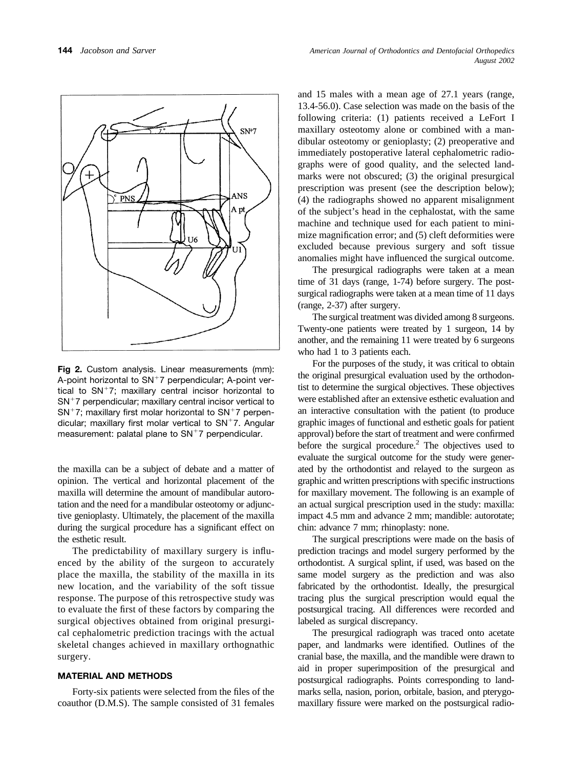

**Fig 2.** Custom analysis. Linear measurements (mm): A-point horizontal to  $SN+7$  perpendicular; A-point vertical to  $SN^+7$ ; maxillary central incisor horizontal to  $SN<sup>+</sup>7$  perpendicular; maxillary central incisor vertical to  $SN<sup>+</sup>7$ ; maxillary first molar horizontal to  $SN<sup>+</sup>7$  perpendicular; maxillary first molar vertical to  $SN+7$ . Angular measurement: palatal plane to  $SN+7$  perpendicular.

the maxilla can be a subject of debate and a matter of opinion. The vertical and horizontal placement of the maxilla will determine the amount of mandibular autorotation and the need for a mandibular osteotomy or adjunctive genioplasty. Ultimately, the placement of the maxilla during the surgical procedure has a significant effect on the esthetic result.

The predictability of maxillary surgery is influenced by the ability of the surgeon to accurately place the maxilla, the stability of the maxilla in its new location, and the variability of the soft tissue response. The purpose of this retrospective study was to evaluate the first of these factors by comparing the surgical objectives obtained from original presurgical cephalometric prediction tracings with the actual skeletal changes achieved in maxillary orthognathic surgery.

### **MATERIAL AND METHODS**

Forty-six patients were selected from the files of the coauthor (D.M.S). The sample consisted of 31 females and 15 males with a mean age of 27.1 years (range, 13.4-56.0). Case selection was made on the basis of the following criteria: (1) patients received a LeFort I maxillary osteotomy alone or combined with a mandibular osteotomy or genioplasty; (2) preoperative and immediately postoperative lateral cephalometric radiographs were of good quality, and the selected landmarks were not obscured; (3) the original presurgical prescription was present (see the description below); (4) the radiographs showed no apparent misalignment of the subject's head in the cephalostat, with the same machine and technique used for each patient to minimize magnification error; and (5) cleft deformities were excluded because previous surgery and soft tissue anomalies might have influenced the surgical outcome.

The presurgical radiographs were taken at a mean time of 31 days (range, 1-74) before surgery. The postsurgical radiographs were taken at a mean time of 11 days (range, 2-37) after surgery.

The surgical treatment was divided among 8 surgeons. Twenty-one patients were treated by 1 surgeon, 14 by another, and the remaining 11 were treated by 6 surgeons who had 1 to 3 patients each.

For the purposes of the study, it was critical to obtain the original presurgical evaluation used by the orthodontist to determine the surgical objectives. These objectives were established after an extensive esthetic evaluation and an interactive consultation with the patient (to produce graphic images of functional and esthetic goals for patient approval) before the start of treatment and were confirmed before the surgical procedure.<sup>2</sup> The objectives used to evaluate the surgical outcome for the study were generated by the orthodontist and relayed to the surgeon as graphic and written prescriptions with specific instructions for maxillary movement. The following is an example of an actual surgical prescription used in the study: maxilla: impact 4.5 mm and advance 2 mm; mandible: autorotate; chin: advance 7 mm; rhinoplasty: none.

The surgical prescriptions were made on the basis of prediction tracings and model surgery performed by the orthodontist. A surgical splint, if used, was based on the same model surgery as the prediction and was also fabricated by the orthodontist. Ideally, the presurgical tracing plus the surgical prescription would equal the postsurgical tracing. All differences were recorded and labeled as surgical discrepancy.

The presurgical radiograph was traced onto acetate paper, and landmarks were identified. Outlines of the cranial base, the maxilla, and the mandible were drawn to aid in proper superimposition of the presurgical and postsurgical radiographs. Points corresponding to landmarks sella, nasion, porion, orbitale, basion, and pterygomaxillary fissure were marked on the postsurgical radio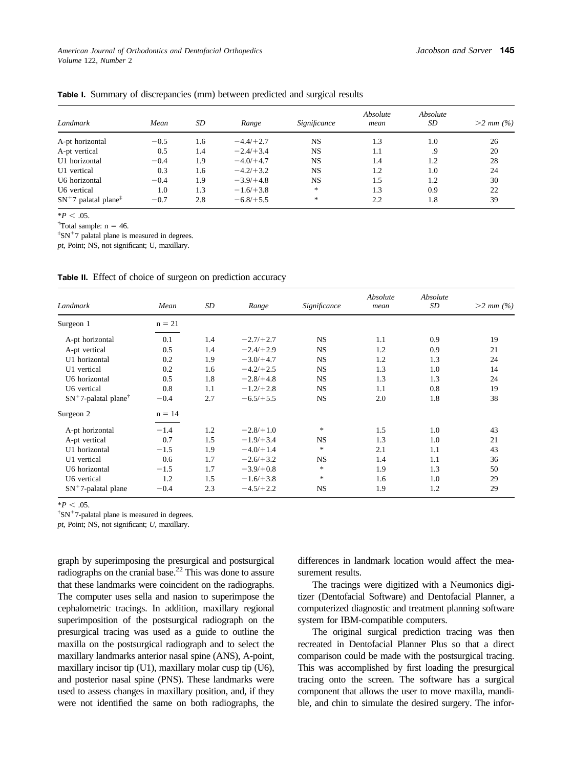*American Journal of Orthodontics and Dentofacial Orthopedics Volume* 122, *Number* 2

| Landmark                                              | Mean   | SD  | Range       | Significance | Absolute<br>mean | Absolute<br>SD | $>2$ mm $(%)$ |
|-------------------------------------------------------|--------|-----|-------------|--------------|------------------|----------------|---------------|
| A-pt horizontal                                       | $-0.5$ | 1.6 | $-4.4/+2.7$ | <b>NS</b>    | 1.3              | 1.0            | 26            |
| A-pt vertical                                         | 0.5    | 1.4 | $-2.4/+3.4$ | <b>NS</b>    | 1.1              | .9             | 20            |
| U1 horizontal                                         | $-0.4$ | 1.9 | $-4.0/+4.7$ | <b>NS</b>    | 1.4              | 1.2            | 28            |
| U1 vertical                                           | 0.3    | 1.6 | $-4.2/+3.2$ | <b>NS</b>    | 1.2              | 1.0            | 24            |
| U6 horizontal                                         | $-0.4$ | 1.9 | $-3.9/+4.8$ | <b>NS</b>    | 1.5              | 1.2            | 30            |
| U6 vertical                                           | 1.0    | 1.3 | $-1.6/+3.8$ | $\ast$       | 1.3              | 0.9            | 22            |
| $SN+7$ palatal plane <sup><math>\ddagger</math></sup> | $-0.7$ | 2.8 | $-6.8/+5.5$ | $\ast$       | 2.2              | 1.8            | 39            |

**Table I.** Summary of discrepancies (mm) between predicted and surgical results

 $*P < .05$ .

<sup>†</sup>Total sample:  $n = 46$ .

 $*S_N$ <sup>+7</sup> palatal plane is measured in degrees.

*pt*, Point; NS, not significant; U, maxillary.

| Landmark                            | Mean     | SD  | Range       | Significance | Absolute<br>mean | Absolute<br>SD | $>2$ mm $(\% )$ |
|-------------------------------------|----------|-----|-------------|--------------|------------------|----------------|-----------------|
| Surgeon 1                           | $n = 21$ |     |             |              |                  |                |                 |
| A-pt horizontal                     | 0.1      | 1.4 | $-2.7/+2.7$ | <b>NS</b>    | 1.1              | 0.9            | 19              |
| A-pt vertical                       | 0.5      | 1.4 | $-2.4/+2.9$ | <b>NS</b>    | 1.2              | 0.9            | 21              |
| U1 horizontal                       | 0.2      | 1.9 | $-3.0/+4.7$ | <b>NS</b>    | 1.2              | 1.3            | 24              |
| U1 vertical                         | 0.2      | 1.6 | $-4.2/+2.5$ | <b>NS</b>    | 1.3              | 1.0            | 14              |
| U6 horizontal                       | 0.5      | 1.8 | $-2.8/+4.8$ | <b>NS</b>    | 1.3              | 1.3            | 24              |
| U6 vertical                         | 0.8      | 1.1 | $-1.2/+2.8$ | <b>NS</b>    | 1.1              | 0.8            | 19              |
| $SN^+$ 7-palatal plane <sup>†</sup> | $-0.4$   | 2.7 | $-6.5/+5.5$ | <b>NS</b>    | 2.0              | 1.8            | 38              |
| Surgeon 2                           | $n = 14$ |     |             |              |                  |                |                 |
| A-pt horizontal                     | $-1.4$   | 1.2 | $-2.8/+1.0$ | $\ast$       | 1.5              | 1.0            | 43              |
| A-pt vertical                       | 0.7      | 1.5 | $-1.9/+3.4$ | <b>NS</b>    | 1.3              | 1.0            | 21              |
| U1 horizontal                       | $-1.5$   | 1.9 | $-4.0/+1.4$ | $\ast$       | 2.1              | 1.1            | 43              |
| U1 vertical                         | 0.6      | 1.7 | $-2.6/+3.2$ | <b>NS</b>    | 1.4              | 1.1            | 36              |
| U6 horizontal                       | $-1.5$   | 1.7 | $-3.9/+0.8$ | $\ast$       | 1.9              | 1.3            | 50              |
| U6 vertical                         | 1.2      | 1.5 | $-1.6/+3.8$ | $\ast$       | 1.6              | 1.0            | 29              |
| $SN+7$ -palatal plane               | $-0.4$   | 2.3 | $-4.5/+2.2$ | <b>NS</b>    | 1.9              | 1.2            | 29              |

**Table II.** Effect of choice of surgeon on prediction accuracy

 $*P < .05$ .

<sup>†</sup>SN<sup>+</sup>7-palatal plane is measured in degrees.

*pt*, Point; NS, not significant; *U*, maxillary.

graph by superimposing the presurgical and postsurgical radiographs on the cranial base.<sup>22</sup> This was done to assure that these landmarks were coincident on the radiographs. The computer uses sella and nasion to superimpose the cephalometric tracings. In addition, maxillary regional superimposition of the postsurgical radiograph on the presurgical tracing was used as a guide to outline the maxilla on the postsurgical radiograph and to select the maxillary landmarks anterior nasal spine (ANS), A-point, maxillary incisor tip (U1), maxillary molar cusp tip (U6), and posterior nasal spine (PNS). These landmarks were used to assess changes in maxillary position, and, if they were not identified the same on both radiographs, the

differences in landmark location would affect the measurement results.

The tracings were digitized with a Neumonics digitizer (Dentofacial Software) and Dentofacial Planner, a computerized diagnostic and treatment planning software system for IBM-compatible computers.

The original surgical prediction tracing was then recreated in Dentofacial Planner Plus so that a direct comparison could be made with the postsurgical tracing. This was accomplished by first loading the presurgical tracing onto the screen. The software has a surgical component that allows the user to move maxilla, mandible, and chin to simulate the desired surgery. The infor-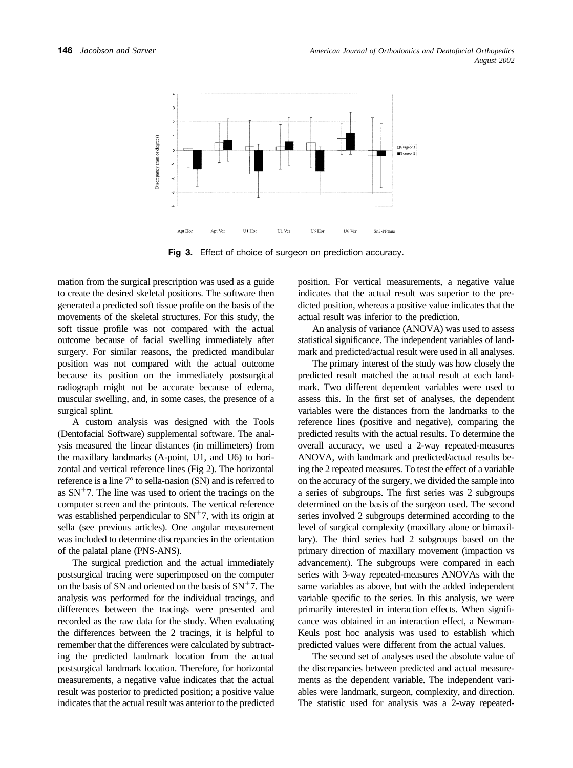

**Fig 3.** Effect of choice of surgeon on prediction accuracy.

mation from the surgical prescription was used as a guide to create the desired skeletal positions. The software then generated a predicted soft tissue profile on the basis of the movements of the skeletal structures. For this study, the soft tissue profile was not compared with the actual outcome because of facial swelling immediately after surgery. For similar reasons, the predicted mandibular position was not compared with the actual outcome because its position on the immediately postsurgical radiograph might not be accurate because of edema, muscular swelling, and, in some cases, the presence of a surgical splint.

A custom analysis was designed with the Tools (Dentofacial Software) supplemental software. The analysis measured the linear distances (in millimeters) from the maxillary landmarks (A-point, U1, and U6) to horizontal and vertical reference lines (Fig 2). The horizontal reference is a line 7° to sella-nasion (SN) and is referred to as  $SN<sup>+</sup>7$ . The line was used to orient the tracings on the computer screen and the printouts. The vertical reference was established perpendicular to  $SN^+7$ , with its origin at sella (see previous articles). One angular measurement was included to determine discrepancies in the orientation of the palatal plane (PNS-ANS).

The surgical prediction and the actual immediately postsurgical tracing were superimposed on the computer on the basis of SN and oriented on the basis of  $SN<sup>+</sup>7$ . The analysis was performed for the individual tracings, and differences between the tracings were presented and recorded as the raw data for the study. When evaluating the differences between the 2 tracings, it is helpful to remember that the differences were calculated by subtracting the predicted landmark location from the actual postsurgical landmark location. Therefore, for horizontal measurements, a negative value indicates that the actual result was posterior to predicted position; a positive value indicates that the actual result was anterior to the predicted position. For vertical measurements, a negative value indicates that the actual result was superior to the predicted position, whereas a positive value indicates that the actual result was inferior to the prediction.

An analysis of variance (ANOVA) was used to assess statistical significance. The independent variables of landmark and predicted/actual result were used in all analyses.

The primary interest of the study was how closely the predicted result matched the actual result at each landmark. Two different dependent variables were used to assess this. In the first set of analyses, the dependent variables were the distances from the landmarks to the reference lines (positive and negative), comparing the predicted results with the actual results. To determine the overall accuracy, we used a 2-way repeated-measures ANOVA, with landmark and predicted/actual results being the 2 repeated measures. To test the effect of a variable on the accuracy of the surgery, we divided the sample into a series of subgroups. The first series was 2 subgroups determined on the basis of the surgeon used. The second series involved 2 subgroups determined according to the level of surgical complexity (maxillary alone or bimaxillary). The third series had 2 subgroups based on the primary direction of maxillary movement (impaction vs advancement). The subgroups were compared in each series with 3-way repeated-measures ANOVAs with the same variables as above, but with the added independent variable specific to the series. In this analysis, we were primarily interested in interaction effects. When significance was obtained in an interaction effect, a Newman-Keuls post hoc analysis was used to establish which predicted values were different from the actual values.

The second set of analyses used the absolute value of the discrepancies between predicted and actual measurements as the dependent variable. The independent variables were landmark, surgeon, complexity, and direction. The statistic used for analysis was a 2-way repeated-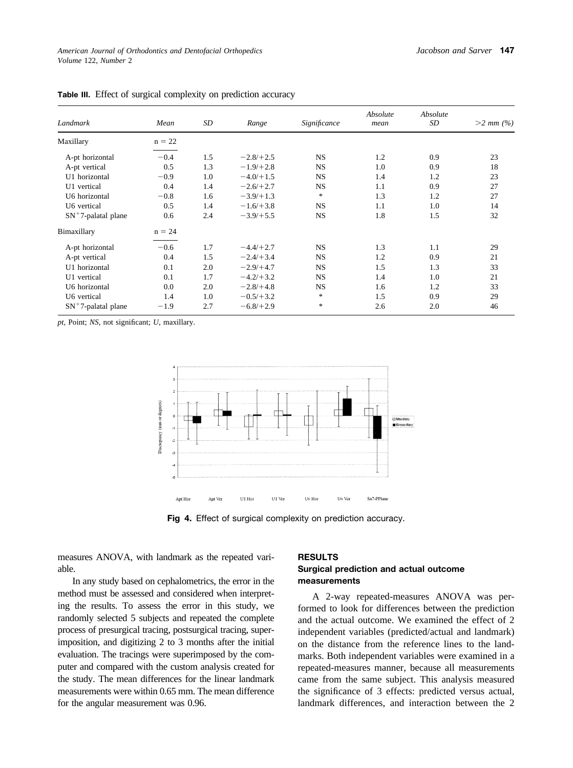| Landmark               | Mean     | SD  | Range       | Significance | Absolute<br>mean | Absolute<br>SD | $>2$ mm $(\% )$ |
|------------------------|----------|-----|-------------|--------------|------------------|----------------|-----------------|
| Maxillary              | $n = 22$ |     |             |              |                  |                |                 |
| A-pt horizontal        | $-0.4$   | 1.5 | $-2.8/+2.5$ | <b>NS</b>    | 1.2              | 0.9            | 23              |
| A-pt vertical          | 0.5      | 1.3 | $-1.9/+2.8$ | <b>NS</b>    | 1.0              | 0.9            | 18              |
| U1 horizontal          | $-0.9$   | 1.0 | $-4.0/+1.5$ | <b>NS</b>    | 1.4              | 1.2            | 23              |
| U1 vertical            | 0.4      | 1.4 | $-2.6/+2.7$ | <b>NS</b>    | 1.1              | 0.9            | 27              |
| U6 horizontal          | $-0.8$   | 1.6 | $-3.9/+1.3$ | $\ast$       | 1.3              | 1.2            | 27              |
| U6 vertical            | 0.5      | 1.4 | $-1.6/+3.8$ | <b>NS</b>    | 1.1              | 1.0            | 14              |
| $SN^+$ 7-palatal plane | 0.6      | 2.4 | $-3.9/+5.5$ | <b>NS</b>    | 1.8              | 1.5            | 32              |
| Bimaxillary            | $n = 24$ |     |             |              |                  |                |                 |
| A-pt horizontal        | $-0.6$   | 1.7 | $-4.4/+2.7$ | <b>NS</b>    | 1.3              | 1.1            | 29              |
| A-pt vertical          | 0.4      | 1.5 | $-2.4/+3.4$ | <b>NS</b>    | 1.2              | 0.9            | 21              |
| U1 horizontal          | 0.1      | 2.0 | $-2.9/+4.7$ | <b>NS</b>    | 1.5              | 1.3            | 33              |
| U1 vertical            | 0.1      | 1.7 | $-4.2/+3.2$ | <b>NS</b>    | 1.4              | 1.0            | 21              |
| U6 horizontal          | 0.0      | 2.0 | $-2.8/+4.8$ | <b>NS</b>    | 1.6              | 1.2            | 33              |
| U6 vertical            | 1.4      | 1.0 | $-0.5/+3.2$ | $\ast$       | 1.5              | 0.9            | 29              |
| $SN^+$ 7-palatal plane | $-1.9$   | 2.7 | $-6.8/+2.9$ | $\ast$       | 2.6              | 2.0            | 46              |

**Table III.** Effect of surgical complexity on prediction accuracy

*pt*, Point; *NS*, not significant; *U*, maxillary.



**Fig 4.** Effect of surgical complexity on prediction accuracy.

measures ANOVA, with landmark as the repeated variable.

In any study based on cephalometrics, the error in the method must be assessed and considered when interpreting the results. To assess the error in this study, we randomly selected 5 subjects and repeated the complete process of presurgical tracing, postsurgical tracing, superimposition, and digitizing 2 to 3 months after the initial evaluation. The tracings were superimposed by the computer and compared with the custom analysis created for the study. The mean differences for the linear landmark measurements were within 0.65 mm. The mean difference for the angular measurement was 0.96.

#### **RESULTS**

# **Surgical prediction and actual outcome measurements**

A 2-way repeated-measures ANOVA was performed to look for differences between the prediction and the actual outcome. We examined the effect of 2 independent variables (predicted/actual and landmark) on the distance from the reference lines to the landmarks. Both independent variables were examined in a repeated-measures manner, because all measurements came from the same subject. This analysis measured the significance of 3 effects: predicted versus actual, landmark differences, and interaction between the 2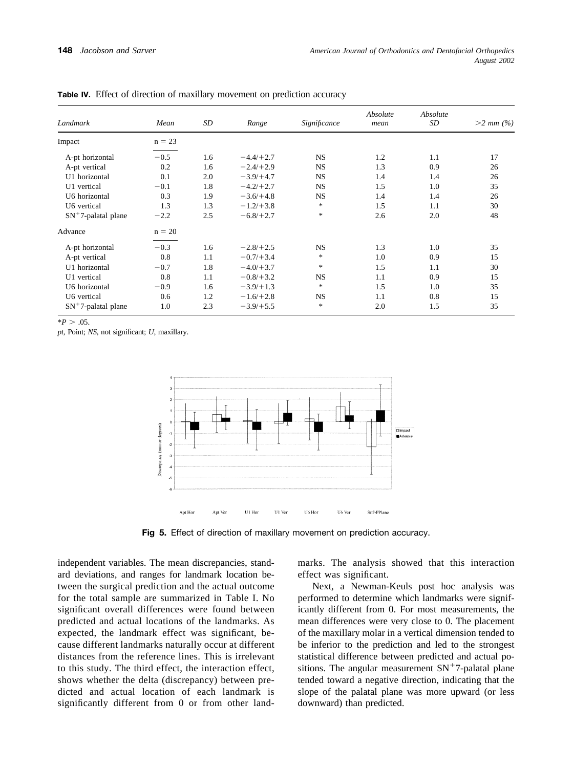| Landmark               | Mean     | SD  | Range       | Significance | Absolute<br>mean | Absolute<br>SD | $>2$ mm $(\% )$ |
|------------------------|----------|-----|-------------|--------------|------------------|----------------|-----------------|
| Impact                 | $n = 23$ |     |             |              |                  |                |                 |
| A-pt horizontal        | $-0.5$   | 1.6 | $-4.4/+2.7$ | <b>NS</b>    | 1.2              | 1.1            | 17              |
| A-pt vertical          | 0.2      | 1.6 | $-2.4/+2.9$ | <b>NS</b>    | 1.3              | 0.9            | 26              |
| U1 horizontal          | 0.1      | 2.0 | $-3.9/+4.7$ | <b>NS</b>    | 1.4              | 1.4            | 26              |
| U1 vertical            | $-0.1$   | 1.8 | $-4.2/+2.7$ | <b>NS</b>    | 1.5              | 1.0            | 35              |
| U6 horizontal          | 0.3      | 1.9 | $-3.6/+4.8$ | <b>NS</b>    | 1.4              | 1.4            | 26              |
| U6 vertical            | 1.3      | 1.3 | $-1.2/+3.8$ | $\ast$       | 1.5              | 1.1            | 30              |
| $SN^+7$ -palatal plane | $-2.2$   | 2.5 | $-6.8/+2.7$ | $\ast$       | 2.6              | 2.0            | 48              |
| Advance                | $n = 20$ |     |             |              |                  |                |                 |
| A-pt horizontal        | $-0.3$   | 1.6 | $-2.8/+2.5$ | <b>NS</b>    | 1.3              | 1.0            | 35              |
| A-pt vertical          | 0.8      | 1.1 | $-0.7/+3.4$ | $\ast$       | 1.0              | 0.9            | 15              |
| U1 horizontal          | $-0.7$   | 1.8 | $-4.0/+3.7$ | $\ast$       | 1.5              | 1.1            | 30              |
| U1 vertical            | 0.8      | 1.1 | $-0.8/+3.2$ | <b>NS</b>    | 1.1              | 0.9            | 15              |
| U6 horizontal          | $-0.9$   | 1.6 | $-3.9/+1.3$ | $\ast$       | 1.5              | 1.0            | 35              |
| U6 vertical            | 0.6      | 1.2 | $-1.6/+2.8$ | <b>NS</b>    | 1.1              | 0.8            | 15              |
| $SN^+$ 7-palatal plane | 1.0      | 2.3 | $-3.9/+5.5$ | $*$          | 2.0              | 1.5            | 35              |

**Table IV.** Effect of direction of maxillary movement on prediction accuracy

 $*P > .05$ .

*pt*, Point; *NS*, not significant; *U*, maxillary.



**Fig 5.** Effect of direction of maxillary movement on prediction accuracy.

independent variables. The mean discrepancies, standard deviations, and ranges for landmark location between the surgical prediction and the actual outcome for the total sample are summarized in Table I. No significant overall differences were found between predicted and actual locations of the landmarks. As expected, the landmark effect was significant, because different landmarks naturally occur at different distances from the reference lines. This is irrelevant to this study. The third effect, the interaction effect, shows whether the delta (discrepancy) between predicted and actual location of each landmark is significantly different from 0 or from other land-

marks. The analysis showed that this interaction effect was significant.

Next, a Newman-Keuls post hoc analysis was performed to determine which landmarks were significantly different from 0. For most measurements, the mean differences were very close to 0. The placement of the maxillary molar in a vertical dimension tended to be inferior to the prediction and led to the strongest statistical difference between predicted and actual positions. The angular measurement  $SN^+7$ -palatal plane tended toward a negative direction, indicating that the slope of the palatal plane was more upward (or less downward) than predicted.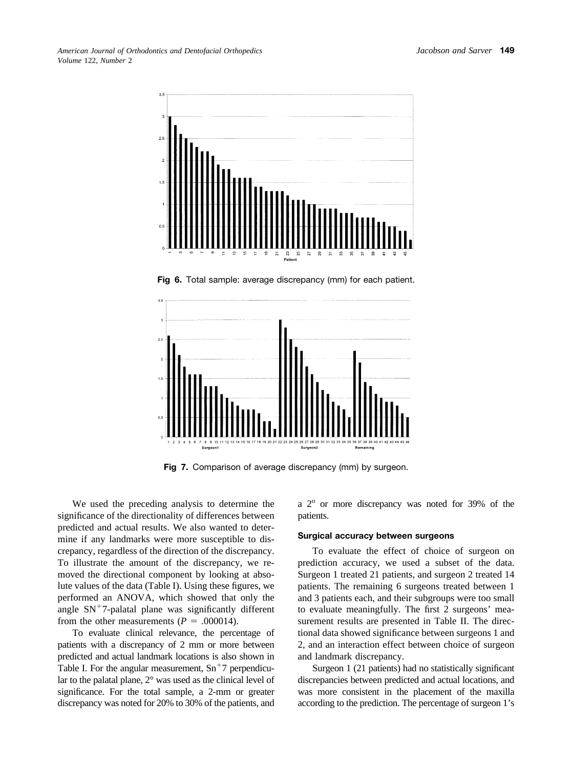*American Journal of Orthodontics and Dentofacial Orthopedics Volume* 122, *Number* 2



**Fig 6.** Total sample: average discrepancy (mm) for each patient.



**Fig 7.** Comparison of average discrepancy (mm) by surgeon.

We used the preceding analysis to determine the significance of the directionality of differences between predicted and actual results. We also wanted to determine if any landmarks were more susceptible to discrepancy, regardless of the direction of the discrepancy. To illustrate the amount of the discrepancy, we removed the directional component by looking at absolute values of the data (Table I). Using these figures, we performed an ANOVA, which showed that only the angle  $SN<sup>+</sup>7$ -palatal plane was significantly different from the other measurements  $(P = .000014)$ .

To evaluate clinical relevance, the percentage of patients with a discrepancy of 2 mm or more between predicted and actual landmark locations is also shown in Table I. For the angular measurement,  $Sn<sup>+</sup>7$  perpendicular to the palatal plane, 2° was used as the clinical level of significance. For the total sample, a 2-mm or greater discrepancy was noted for 20% to 30% of the patients, and

a  $2^{\circ}$  or more discrepancy was noted for 39% of the patients.

## **Surgical accuracy between surgeons**

To evaluate the effect of choice of surgeon on prediction accuracy, we used a subset of the data. Surgeon 1 treated 21 patients, and surgeon 2 treated 14 patients. The remaining 6 surgeons treated between 1 and 3 patients each, and their subgroups were too small to evaluate meaningfully. The first 2 surgeons' measurement results are presented in Table II. The directional data showed significance between surgeons 1 and 2, and an interaction effect between choice of surgeon and landmark discrepancy.

Surgeon 1 (21 patients) had no statistically significant discrepancies between predicted and actual locations, and was more consistent in the placement of the maxilla according to the prediction. The percentage of surgeon 1's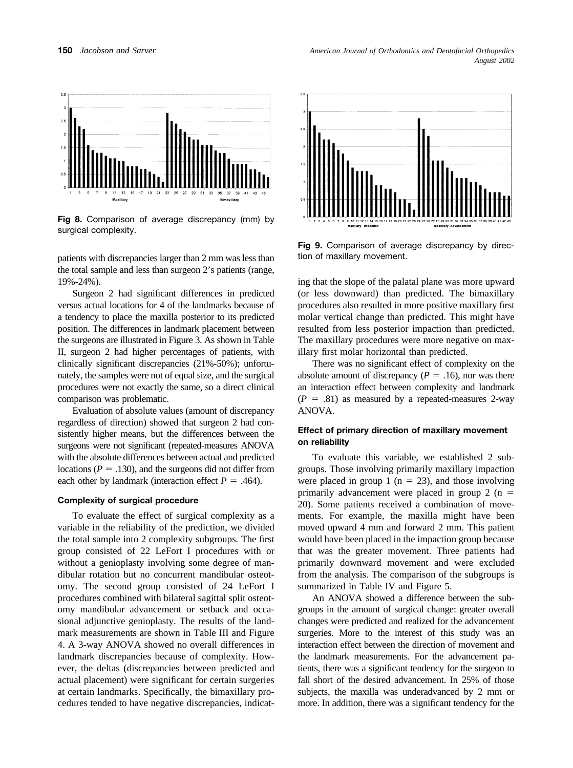

**Fig 8.** Comparison of average discrepancy (mm) by surgical complexity.

patients with discrepancies larger than 2 mm was less than the total sample and less than surgeon 2's patients (range, 19%-24%).

Surgeon 2 had significant differences in predicted versus actual locations for 4 of the landmarks because of a tendency to place the maxilla posterior to its predicted position. The differences in landmark placement between the surgeons are illustrated in Figure 3. As shown in Table II, surgeon 2 had higher percentages of patients, with clinically significant discrepancies (21%-50%); unfortunately, the samples were not of equal size, and the surgical procedures were not exactly the same, so a direct clinical comparison was problematic.

Evaluation of absolute values (amount of discrepancy regardless of direction) showed that surgeon 2 had consistently higher means, but the differences between the surgeons were not significant (repeated-measures ANOVA with the absolute differences between actual and predicted locations ( $P = .130$ ), and the surgeons did not differ from each other by landmark (interaction effect  $P = .464$ ).

### **Complexity of surgical procedure**

To evaluate the effect of surgical complexity as a variable in the reliability of the prediction, we divided the total sample into 2 complexity subgroups. The first group consisted of 22 LeFort I procedures with or without a genioplasty involving some degree of mandibular rotation but no concurrent mandibular osteotomy. The second group consisted of 24 LeFort I procedures combined with bilateral sagittal split osteotomy mandibular advancement or setback and occasional adjunctive genioplasty. The results of the landmark measurements are shown in Table III and Figure 4. A 3-way ANOVA showed no overall differences in landmark discrepancies because of complexity. However, the deltas (discrepancies between predicted and actual placement) were significant for certain surgeries at certain landmarks. Specifically, the bimaxillary procedures tended to have negative discrepancies, indicat-



**Fig 9.** Comparison of average discrepancy by direction of maxillary movement.

ing that the slope of the palatal plane was more upward (or less downward) than predicted. The bimaxillary procedures also resulted in more positive maxillary first molar vertical change than predicted. This might have resulted from less posterior impaction than predicted. The maxillary procedures were more negative on maxillary first molar horizontal than predicted.

There was no significant effect of complexity on the absolute amount of discrepancy  $(P = .16)$ , nor was there an interaction effect between complexity and landmark  $(P = .81)$  as measured by a repeated-measures 2-way ANOVA.

## **Effect of primary direction of maxillary movement on reliability**

To evaluate this variable, we established 2 subgroups. Those involving primarily maxillary impaction were placed in group 1 ( $n = 23$ ), and those involving primarily advancement were placed in group 2  $(n =$ 20). Some patients received a combination of movements. For example, the maxilla might have been moved upward 4 mm and forward 2 mm. This patient would have been placed in the impaction group because that was the greater movement. Three patients had primarily downward movement and were excluded from the analysis. The comparison of the subgroups is summarized in Table IV and Figure 5.

An ANOVA showed a difference between the subgroups in the amount of surgical change: greater overall changes were predicted and realized for the advancement surgeries. More to the interest of this study was an interaction effect between the direction of movement and the landmark measurements. For the advancement patients, there was a significant tendency for the surgeon to fall short of the desired advancement. In 25% of those subjects, the maxilla was underadvanced by 2 mm or more. In addition, there was a significant tendency for the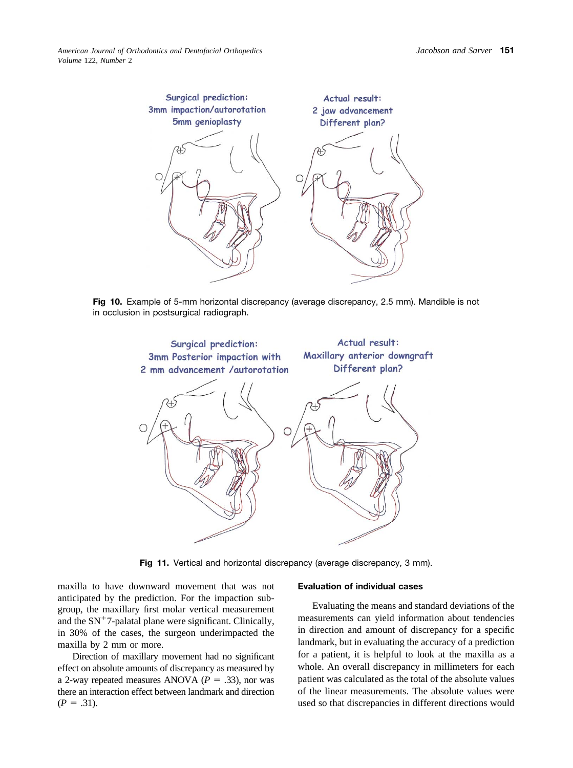

**Fig 10.** Example of 5-mm horizontal discrepancy (average discrepancy, 2.5 mm). Mandible is not in occlusion in postsurgical radiograph.



Fig 11. Vertical and horizontal discrepancy (average discrepancy, 3 mm).

maxilla to have downward movement that was not anticipated by the prediction. For the impaction subgroup, the maxillary first molar vertical measurement and the  $SN<sup>+</sup>7$ -palatal plane were significant. Clinically, in 30% of the cases, the surgeon underimpacted the maxilla by 2 mm or more.

Direction of maxillary movement had no significant effect on absolute amounts of discrepancy as measured by a 2-way repeated measures ANOVA  $(P = .33)$ , nor was there an interaction effect between landmark and direction  $(P = .31)$ .

#### **Evaluation of individual cases**

Evaluating the means and standard deviations of the measurements can yield information about tendencies in direction and amount of discrepancy for a specific landmark, but in evaluating the accuracy of a prediction for a patient, it is helpful to look at the maxilla as a whole. An overall discrepancy in millimeters for each patient was calculated as the total of the absolute values of the linear measurements. The absolute values were used so that discrepancies in different directions would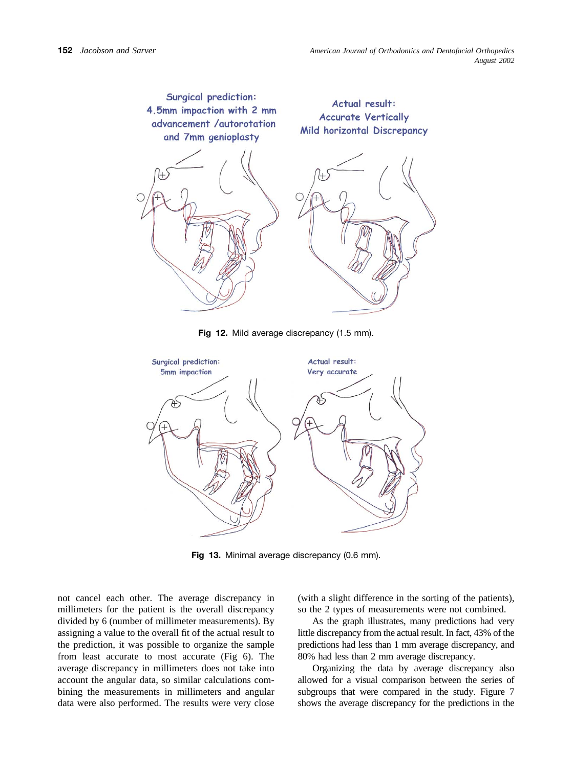

**Fig 12.** Mild average discrepancy (1.5 mm).



**Fig 13.** Minimal average discrepancy (0.6 mm).

not cancel each other. The average discrepancy in millimeters for the patient is the overall discrepancy divided by 6 (number of millimeter measurements). By assigning a value to the overall fit of the actual result to the prediction, it was possible to organize the sample from least accurate to most accurate (Fig 6). The average discrepancy in millimeters does not take into account the angular data, so similar calculations combining the measurements in millimeters and angular data were also performed. The results were very close

(with a slight difference in the sorting of the patients), so the 2 types of measurements were not combined.

As the graph illustrates, many predictions had very little discrepancy from the actual result. In fact, 43% of the predictions had less than 1 mm average discrepancy, and 80% had less than 2 mm average discrepancy.

Organizing the data by average discrepancy also allowed for a visual comparison between the series of subgroups that were compared in the study. Figure 7 shows the average discrepancy for the predictions in the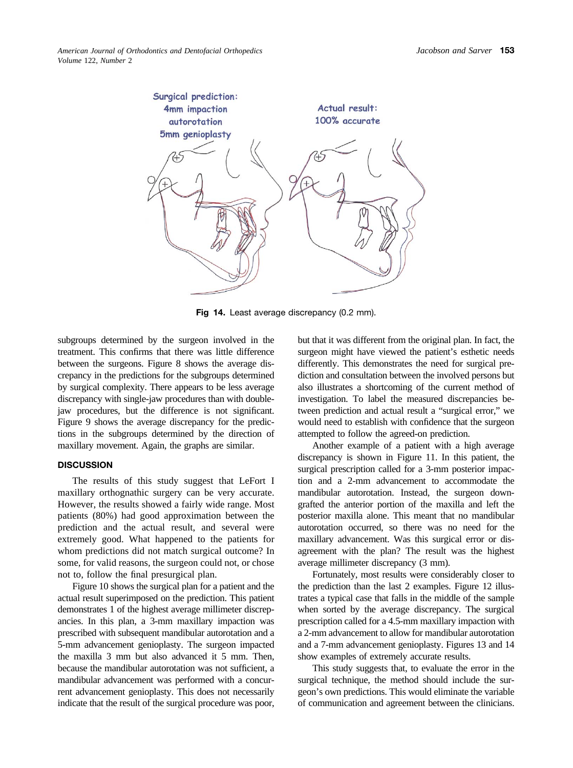

**Fig 14.** Least average discrepancy (0.2 mm).

subgroups determined by the surgeon involved in the treatment. This confirms that there was little difference between the surgeons. Figure 8 shows the average discrepancy in the predictions for the subgroups determined by surgical complexity. There appears to be less average discrepancy with single-jaw procedures than with doublejaw procedures, but the difference is not significant. Figure 9 shows the average discrepancy for the predictions in the subgroups determined by the direction of maxillary movement. Again, the graphs are similar.

### **DISCUSSION**

The results of this study suggest that LeFort I maxillary orthognathic surgery can be very accurate. However, the results showed a fairly wide range. Most patients (80%) had good approximation between the prediction and the actual result, and several were extremely good. What happened to the patients for whom predictions did not match surgical outcome? In some, for valid reasons, the surgeon could not, or chose not to, follow the final presurgical plan.

Figure 10 shows the surgical plan for a patient and the actual result superimposed on the prediction. This patient demonstrates 1 of the highest average millimeter discrepancies. In this plan, a 3-mm maxillary impaction was prescribed with subsequent mandibular autorotation and a 5-mm advancement genioplasty. The surgeon impacted the maxilla 3 mm but also advanced it 5 mm. Then, because the mandibular autorotation was not sufficient, a mandibular advancement was performed with a concurrent advancement genioplasty. This does not necessarily indicate that the result of the surgical procedure was poor, but that it was different from the original plan. In fact, the surgeon might have viewed the patient's esthetic needs differently. This demonstrates the need for surgical prediction and consultation between the involved persons but also illustrates a shortcoming of the current method of investigation. To label the measured discrepancies between prediction and actual result a "surgical error," we would need to establish with confidence that the surgeon attempted to follow the agreed-on prediction.

Another example of a patient with a high average discrepancy is shown in Figure 11. In this patient, the surgical prescription called for a 3-mm posterior impaction and a 2-mm advancement to accommodate the mandibular autorotation. Instead, the surgeon downgrafted the anterior portion of the maxilla and left the posterior maxilla alone. This meant that no mandibular autorotation occurred, so there was no need for the maxillary advancement. Was this surgical error or disagreement with the plan? The result was the highest average millimeter discrepancy (3 mm).

Fortunately, most results were considerably closer to the prediction than the last 2 examples. Figure 12 illustrates a typical case that falls in the middle of the sample when sorted by the average discrepancy. The surgical prescription called for a 4.5-mm maxillary impaction with a 2-mm advancement to allow for mandibular autorotation and a 7-mm advancement genioplasty. Figures 13 and 14 show examples of extremely accurate results.

This study suggests that, to evaluate the error in the surgical technique, the method should include the surgeon's own predictions. This would eliminate the variable of communication and agreement between the clinicians.